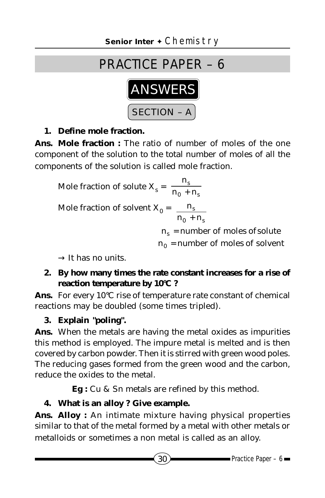# PRACTICE PAPER – 6



### **1. Define mole fraction.**

**Ans. Mole fraction :** The ratio of number of moles of the one component of the solution to the total number of moles of all the components of the solution is called mole fraction.

Mole fraction of solute  $X_s = \frac{n_s}{n_0 + n_s}$  $n_0 + n$ n + Mole fraction of solvent  $X_{0} =$  $0 + \mathbf{u}_s$ s  $n_0 + n$ n +  $\begin{bmatrix} n_s = \text{number of moles of solute} \ n_0 = \text{number of moles of solvent} \end{bmatrix}$ L = =  $n_0$  = number of moles of solvent  $n_s$  = number of moles of solute 0 s

 $\rightarrow$  It has no units.

**2. By how many times the rate constant increases for a rise of reaction temperature by 10°C ?**

**Ans.** For every 10°C rise of temperature rate constant of chemical reactions may be doubled (some times tripled).

**3. Explain "poling".**

**Ans.** When the metals are having the metal oxides as impurities this method is employed. The impure metal is melted and is then covered by carbon powder. Then it is stirred with green wood poles. The reducing gases formed from the green wood and the carbon, reduce the oxides to the metal.

**Eg :** Cu & Sn metals are refined by this method.

### **4. What is an alloy ? Give example.**

**Ans. Alloy :** An intimate mixture having physical properties similar to that of the metal formed by a metal with other metals or metalloids or sometimes a non metal is called as an alloy.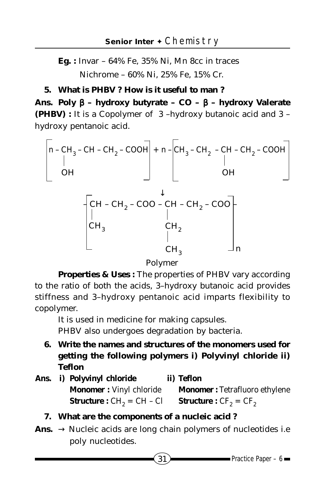**Eg. :** Invar – 64% Fe, 35% Ni, Mn 8cc in traces Nichrome – 60% Ni, 25% Fe, 15% Cr.

#### **5. What is PHBV ? How is it useful to man ?**

**Ans. Poly** β **– hydroxy butyrate – CO –** β **– hydroxy Valerate (PHBV) :** It is a Copolymer of 3 –hydroxy butanoic acid and 3 – hydroxy pentanoic acid.

$$
\begin{bmatrix}\n0 - CH_3 - CH - CH_2 - COOH \\
\mid & 0H\n\end{bmatrix} + n - \begin{bmatrix} CH_3 - CH_2 - CH - CH_2 - COOH \\
\mid & 0H\n\end{bmatrix}
$$
\n
$$
CH - CH_2 - COO - CH - CH_2 - COO
$$
\n
$$
\begin{bmatrix}\nCH - CH_2 - COO - CH - CH_2 - COO \\
\mid & H_2 \\
CH_3 & CH_3\n\end{bmatrix}
$$

Polymer

**Properties & Uses :** The properties of PHBV vary according to the ratio of both the acids, 3–hydroxy butanoic acid provides stiffness and 3–hydroxy pentanoic acid imparts flexibility to copolymer.

It is used in medicine for making capsules. PHBV also undergoes degradation by bacteria.

- **6. Write the names and structures of the monomers used for getting the following polymers i) Polyvinyl chloride ii) Teflon**
- **Ans. i) Polyvinyl chloride ii) Teflon Monomer :** Vinyl chloride **Monomer :** Tetrafluoro ethylene **Structure :**  $CH_2 = CH - Cl$  **Structure :**  $CF_2 = CF_2$ 
	- **7. What are the components of a nucleic acid ?**
- Ans.  $\rightarrow$  Nucleic acids are long chain polymers of nucleotides i.e poly nucleotides.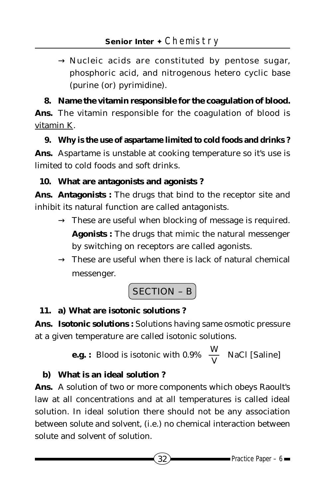$\rightarrow$  Nucleic acids are constituted by pentose sugar, phosphoric acid, and nitrogenous hetero cyclic base (purine (or) pyrimidine).

**8. Name the vitamin responsible for the coagulation of blood. Ans.** The vitamin responsible for the coagulation of blood is vitamin K.

**9. Why is the use of aspartame limited to cold foods and drinks ? Ans.** Aspartame is unstable at cooking temperature so it's use is limited to cold foods and soft drinks.

## **10. What are antagonists and agonists ?**

**Ans. Antagonists :** The drugs that bind to the receptor site and inhibit its natural function are called antagonists.

- $\rightarrow$  These are useful when blocking of message is required. **Agonists :** The drugs that mimic the natural messenger by switching on receptors are called agonists.
- $\rightarrow$  These are useful when there is lack of natural chemical messenger.

$$
\fbox{SECTION - B}
$$

## **11. a) What are isotonic solutions ?**

**Ans. Isotonic solutions :** Solutions having same osmotic pressure at a given temperature are called isotonic solutions.

> **e.g. :** Blood is isotonic with 0.9%  $\left| \frac{1}{\mathbf{V}} \right|$  $\bigg)$  $\left(\frac{W}{V}\right)$ l ſ  $\left(\frac{\text{W}}{\text{V}}\right)$  NaC*l* [Saline]

## **b) What is an ideal solution ?**

**Ans.** A solution of two or more components which obeys Raoult's law at all concentrations and at all temperatures is called ideal solution. In ideal solution there should not be any association between solute and solvent, (i.e.) no chemical interaction between solute and solvent of solution.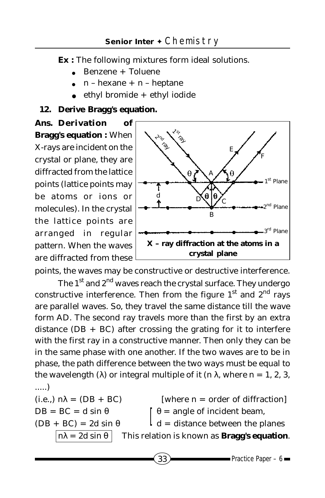**Ex :** The following mixtures form ideal solutions.

- Benzene + Toluene
- $n hexane + n heptane$
- $ethyl$  bromide  $+$  ethyl iodide

### **12. Derive Bragg's equation.**

**Ans. Derivation of Bragg's equation :** When X-rays are incident on the crystal or plane, they are diffracted from the lattice points (lattice points may be atoms or ions or molecules). In the crystal the lattice points are arranged in regular pattern. When the waves are diffracted from these



points, the waves may be constructive or destructive interference.

The  $1<sup>st</sup>$  and  $2<sup>nd</sup>$  waves reach the crystal surface. They undergo constructive interference. Then from the figure  $1<sup>st</sup>$  and  $2<sup>nd</sup>$  rays are parallel waves. So, they travel the same distance till the wave form AD. The second ray travels more than the first by an extra distance  $(DB + BC)$  after crossing the grating for it to interfere with the first ray in a constructive manner. Then only they can be in the same phase with one another. If the two waves are to be in phase, the path difference between the two ways must be equal to the wavelength (λ) or integral multiple of it (n λ, where n = 1, 2, 3, .....)

(i.e.,) 
$$
n\lambda = (DB + BC)
$$
 [where n = order of diffraction]  
DB = BC = d sin  $\theta$   $\theta$   $\theta$  = angle of incident beam,  
 $(DB + BC) = 2d \sin \theta$   $d$  = distance between the planes  
 $n\lambda = 2d \sin \theta$  This relation is known as **Bragg's equation**.

 $33$  Practice Paper – 6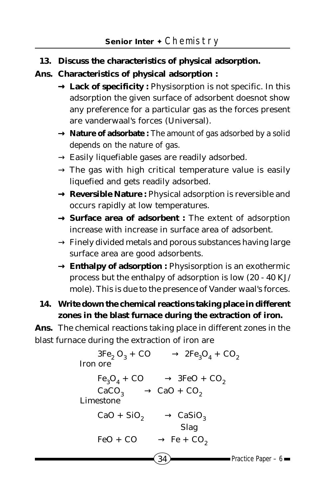**13. Discuss the characteristics of physical adsorption.**

### **Ans. Characteristics of physical adsorption :**

- → **Lack of specificity :** Physisorption is not specific. In this adsorption the given surface of adsorbent doesnot show any preference for a particular gas as the forces present are vanderwaal's forces (Universal).
- → **Nature of adsorbate :** The amount of gas adsorbed by a solid depends on the nature of gas.
- $\rightarrow$  Easily liquefiable gases are readily adsorbed.
- $\rightarrow$  The gas with high critical temperature value is easily liquefied and gets readily adsorbed.
- → **Reversible Nature :** Physical adsorption is reversible and occurs rapidly at low temperatures.
- → **Surface area of adsorbent :** The extent of adsorption increase with increase in surface area of adsorbent.
- $\rightarrow$  Finely divided metals and porous substances having large surface area are good adsorbents.
- → **Enthalpy of adsorption :** Physisorption is an exothermic process but the enthalpy of adsorption is low (20 - 40 KJ/ mole). This is due to the presence of Vander waal's forces.

## **14. Write down the chemical reactions taking place in different zones in the blast furnace during the extraction of iron.**

**Ans.** The chemical reactions taking place in different zones in the blast furnace during the extraction of iron are

```
34 Practice Paper – 6
      3Fe_2 O_3 + CO \longrightarrow 2Fe_3 O_4 + CO_2 Iron ore
      Fe<sub>3</sub>O<sub>4</sub> + CO \longrightarrow 3FeO + CO<sub>2</sub>CaCO<sub>3</sub> — CaO + CO<sub>2</sub> Limestone
      CaO + SiO<sub>2</sub> \longrightarrow CaSiO<sub>3</sub> Slag
      FeO + CO \longrightarrow Fe + CO_2
```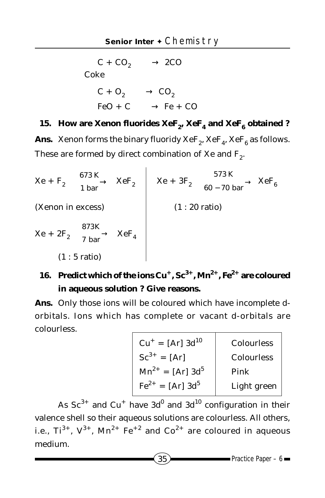$C + CO<sub>2</sub> \longrightarrow 2CO$  Coke  $C + O_2 \longrightarrow CO_2$  $FeO + C \longrightarrow Fe + CO$ 

## 15. How are Xenon fluorides  $XeF_2$ ,  $XeF_4$  and  $XeF_6$  obtained ?

**Ans.** Xenon forms the binary fluoridy  $XeF_2$ ,  $XeF_4$ ,  $XeF_6$  as follows. These are formed by direct combination of Xe and  $F_2$ .

$$
Xe + F_2 \xrightarrow{673 \text{ K}} XeF_2
$$
\n
$$
(Xenon in excess)
$$
\n
$$
Xe + 2F_2 \xrightarrow{873 \text{ K}} 7 \text{ bar}
$$
\n
$$
Xe + 2F_2 \xrightarrow{873 \text{ K}} XeF_4
$$
\n
$$
(1 : 5 \text{ ratio})
$$
\n
$$
Xe + 2F_1 \xrightarrow{873 \text{ K}} XeF_4
$$

## 16. Predict which of the ions Cu<sup>+</sup>, Sc<sup>3+</sup>, Mn<sup>2+</sup>, Fe<sup>2+</sup> are coloured **in aqueous solution ? Give reasons.**

**Ans.** Only those ions will be coloured which have incomplete dorbitals. Ions which has complete or vacant d-orbitals are colourless.

| $Cu^+ = [Ar] 3d^{10}$               | <b>Colourless</b> |
|-------------------------------------|-------------------|
| $Sc^{3+} = [Ar]$                    | <b>Colourless</b> |
| $Mn^{2+} = [Ar] 3d^5$               | Pink              |
| $\text{Fe}^{2+} = [\text{Ar}] 3d^5$ | Light green       |

As  $\rm Sc^{3+}$  and  $\rm Cu^+$  have  $\rm 3d^{0}$  and  $\rm 3d^{10}$  configuration in their valence shell so their aqueous solutions are colourless. All others, i.e.,  $Ti^{3+}$ ,  $V^{3+}$ ,  $Mn^{2+}$   $Fe^{+2}$  and  $Co^{2+}$  are coloured in aqueous medium.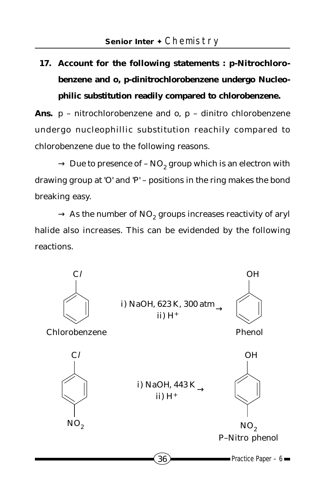## **17. Account for the following statements : p-Nitrochlorobenzene and o, p-dinitrochlorobenzene undergo Nucleophilic substitution readily compared to chlorobenzene.**

**Ans.** p – nitrochlorobenzene and o, p – dinitro chlorobenzene undergo nucleophillic substitution reachily compared to chlorobenzene due to the following reasons.

 $\rightarrow$  Due to presence of – NO<sub>2</sub> group which is an electron with drawing group at 'O' and 'P' – positions in the ring makes the bond breaking easy.

 $\rightarrow$  As the number of NO<sub>2</sub> groups increases reactivity of aryl halide also increases. This can be evidended by the following reactions.

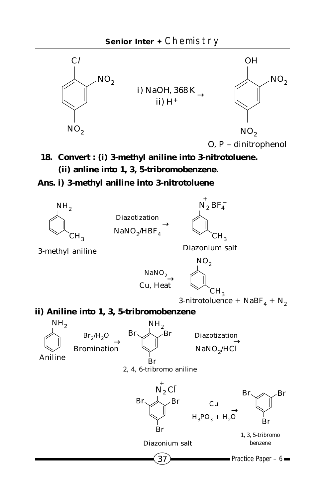

**18. Convert : (i) 3-methyl aniline into 3-nitrotoluene. (ii) anline into 1, 3, 5-tribromobenzene.**

#### **Ans. i) 3-methyl aniline into 3-nitrotoluene**

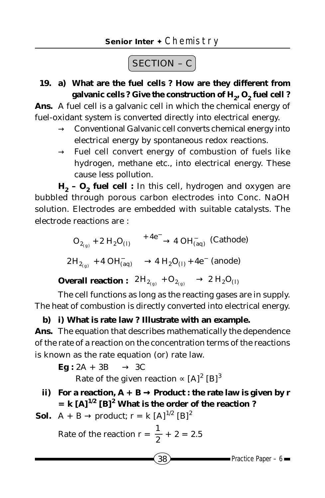# $\fbox{SECTION - C}$

**19. a) What are the fuel cells ? How are they different from** galvanic cells ? Give the construction of H<sub>2</sub>, O<sub>2</sub> fuel cell ?

**Ans.** A fuel cell is a galvanic cell in which the chemical energy of fuel-oxidant system is converted directly into electrical energy.

- $\rightarrow$  Conventional Galvanic cell converts chemical energy into electrical energy by spontaneous redox reactions.
- $\rightarrow$  Fuel cell convert energy of combustion of fuels like hydrogen, methane etc., into electrical energy. These cause less pollution.

H<sub>2</sub> - O<sub>2</sub> fuel cell : In this cell, hydrogen and oxygen are bubbled through porous carbon electrodes into Conc. NaOH solution. Electrodes are embedded with suitable catalysts. The electrode reactions are :

$$
O_{2_{(g)}} + 2 H_2 O_{(l)} \xrightarrow{+4e^-} 4 OH_{(aq)}^-\text{ (Cathode)}
$$
  

$$
2H_{2_{(g)}} + 4 OH_{(aq)}^- \longrightarrow 4 H_2 O_{(l)} + 4e^- \text{ (anode)}
$$

Overall reaction :  $\begin{array}{c} \displaystyle 2\, \mathrm{H}_{2_{\mathrm{(g)}}} + \mathrm{O}_{2_{\mathrm{(g)}}} \longrightarrow 2 \ \mathrm{H}_2\mathrm{O}_{(I)} \end{array}$ 

The cell functions as long as the reacting gases are in supply. The heat of combustion is directly converted into electrical energy.

#### **b) i) What is rate law ? Illustrate with an example.**

**Ans.** The equation that describes mathematically the dependence of the rate of a reaction on the concentration terms of the reactions is known as the rate equation (or) rate law.

 $Eg : 2A + 3B \longrightarrow 3C$ 

Rate of the given reaction  $\propto$  [A]<sup>2</sup> [B]<sup>3</sup>

**ii)** For a reaction,  $A + B \rightarrow$  Product : the rate law is given by r  $=$  **k**  $[A]^{1/2}$   $[B]^2$  What is the order of the reaction ?

**Sol.** A + B 
$$
\rightarrow
$$
 product; r = k [A]<sup>1/2</sup> [B]<sup>2</sup>

Rate of the reaction 
$$
r = \frac{1}{2} + 2 = 2.5
$$

$$
\bullet \bullet \bullet
$$
Practice Paper – 6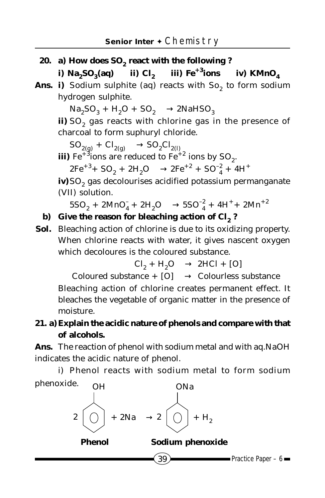**20.** a) How does SO<sub>2</sub> react with the following ?

**i**)  $\text{Na}_2\text{SO}_3(\text{aq})$  **iii**)  $\text{C}l_2$  **iiii**)  $\text{Fe}^{+3}$ **ions iv**)  $\text{KMnO}_4$ 

Ans. i) Sodium sulphite (aq) reacts with  $So<sub>2</sub>$  to form sodium hydrogen sulphite.

 $Na<sub>2</sub>SO<sub>3</sub> + H<sub>2</sub>O + SO<sub>2</sub> \longrightarrow 2NaHSO<sub>3</sub>$ 

ii) SO<sub>2</sub> gas reacts with chlorine gas in the presence of charcoal to form suphuryl chloride.

 $SO_{2(g)} + Cl_{2(g)} \longrightarrow SO_2Cl_{2(h)}$ <br> **iii**) Fe<sup>+3</sup>ions are reduced to Fe<sup>+2</sup> ions by SO<sub>2</sub>.

 $2Fe^{+3}$ +  $SO_2$  +  $2H_2O \longrightarrow 2Fe^{+2}$  +  $SO_4^2$  +  $4H^+$ 

iv)SO<sub>2</sub> gas decolourises acidified potassium permanganate (VII) solution.

 $5SO_2 + 2MnO_4^- + 2H_2O \longrightarrow 5SO_4^2 + 4H^+ + 2Mn^{+2}$ 

### **b) Give the reason for bleaching action of C***l***2 ?**

**Sol.** Bleaching action of chlorine is due to its oxidizing property. When chlorine reacts with water, it gives nascent oxygen which decoloures is the coloured substance.

 $Cl_2 + H_2O \longrightarrow 2HCl + [O]$ 

Coloured substance +  $[0] \longrightarrow$  Colourless substance Bleaching action of chlorine creates permanent effect. It bleaches the vegetable of organic matter in the presence of moisture.

## **21. a)Explain the acidic nature of phenols and compare with that of alcohols.**

**Ans.** The reaction of phenol with sodium metal and with aq.NaOH indicates the acidic nature of phenol.

i) Phenol reacts with sodium metal to form sodium

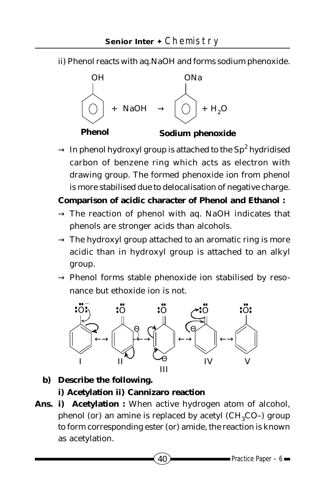ii) Phenol reacts with aq.NaOH and forms sodium phenoxide.



 $\rightarrow \,$  In phenol hydroxyl group is attached to the Sp $^2$  hydridised carbon of benzene ring which acts as electron with drawing group. The formed phenoxide ion from phenol is more stabilised due to delocalisation of negative charge.

### **Comparison of acidic character of Phenol and Ethanol :**

- $\rightarrow$  The reaction of phenol with aq. NaOH indicates that phenols are stronger acids than alcohols.
- $\rightarrow$  The hydroxyl group attached to an aromatic ring is more acidic than in hydroxyl group is attached to an alkyl group.
- $\rightarrow$  Phenol forms stable phenoxide ion stabilised by resonance but ethoxide ion is not.



**b) Describe the following.**

## **i) Acetylation ii) Cannizaro reaction**

**Ans. i) Acetylation :** When active hydrogen atom of alcohol, phenol (or) an amine is replaced by acetyl  $(CH_2CO-)$  group to form corresponding ester (or) amide, the reaction is known as acetylation.